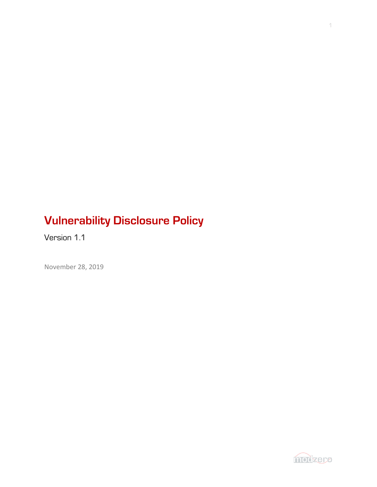# **Vulnerability Disclosure Policy**

Version 1.1

November 28, 2019

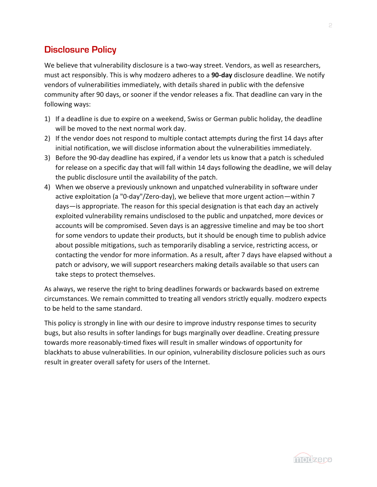### **Disclosure Policy**

We believe that vulnerability disclosure is a two-way street. Vendors, as well as researchers, must act responsibly. This is why modzero adheres to a **90-day** disclosure deadline. We notify vendors of vulnerabilities immediately, with details shared in public with the defensive community after 90 days, or sooner if the vendor releases a fix. That deadline can vary in the following ways:

- 1) If a deadline is due to expire on a weekend, Swiss or German public holiday, the deadline will be moved to the next normal work day.
- 2) If the vendor does not respond to multiple contact attempts during the first 14 days after initial notification, we will disclose information about the vulnerabilities immediately.
- 3) Before the 90-day deadline has expired, if a vendor lets us know that a patch is scheduled for release on a specific day that will fall within 14 days following the deadline, we will delay the public disclosure until the availability of the patch.
- 4) When we observe a previously unknown and unpatched vulnerability in software under active exploitation (a "0-day"/Zero-day), we believe that more urgent action—within 7 days—is appropriate. The reason for this special designation is that each day an actively exploited vulnerability remains undisclosed to the public and unpatched, more devices or accounts will be compromised. Seven days is an aggressive timeline and may be too short for some vendors to update their products, but it should be enough time to publish advice about possible mitigations, such as temporarily disabling a service, restricting access, or contacting the vendor for more information. As a result, after 7 days have elapsed without a patch or advisory, we will support researchers making details available so that users can take steps to protect themselves.

As always, we reserve the right to bring deadlines forwards or backwards based on extreme circumstances. We remain committed to treating all vendors strictly equally. modzero expects to be held to the same standard.

This policy is strongly in line with our desire to improve industry response times to security bugs, but also results in softer landings for bugs marginally over deadline. Creating pressure towards more reasonably-timed fixes will result in smaller windows of opportunity for blackhats to abuse vulnerabilities. In our opinion, vulnerability disclosure policies such as ours result in greater overall safety for users of the Internet.

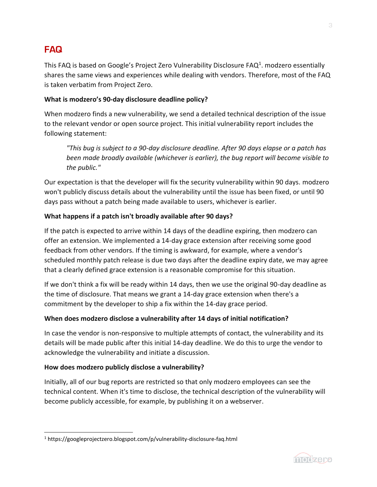# **FAQ**

This FAQ is based on Google's Project Zero Vulnerability Disclosure FAQ<sup>1</sup>. modzero essentially shares the same views and experiences while dealing with vendors. Therefore, most of the FAQ is taken verbatim from Project Zero.

#### **What is modzero's 90-day disclosure deadline policy?**

When modzero finds a new vulnerability, we send a detailed technical description of the issue to the relevant vendor or open source project. This initial vulnerability report includes the following statement:

*"This bug is subject to a 90-day disclosure deadline. After 90 days elapse or a patch has been made broadly available (whichever is earlier), the bug report will become visible to the public."*

Our expectation is that the developer will fix the security vulnerability within 90 days. modzero won't publicly discuss details about the vulnerability until the issue has been fixed, or until 90 days pass without a patch being made available to users, whichever is earlier.

#### **What happens if a patch isn't broadly available after 90 days?**

If the patch is expected to arrive within 14 days of the deadline expiring, then modzero can offer an extension. We implemented a 14-day grace extension after receiving some good feedback from other vendors. If the timing is awkward, for example, where a vendor's scheduled monthly patch release is due two days after the deadline expiry date, we may agree that a clearly defined grace extension is a reasonable compromise for this situation.

If we don't think a fix will be ready within 14 days, then we use the original 90-day deadline as the time of disclosure. That means we grant a 14-day grace extension when there's a commitment by the developer to ship a fix within the 14-day grace period.

#### **When does modzero disclose a vulnerability after 14 days of initial notification?**

In case the vendor is non-responsive to multiple attempts of contact, the vulnerability and its details will be made public after this initial 14-day deadline. We do this to urge the vendor to acknowledge the vulnerability and initiate a discussion.

#### **How does modzero publicly disclose a vulnerability?**

Initially, all of our bug reports are restricted so that only modzero employees can see the technical content. When it's time to disclose, the technical description of the vulnerability will become publicly accessible, for example, by publishing it on a webserver.



<sup>1</sup> https://googleprojectzero.blogspot.com/p/vulnerability-disclosure-faq.html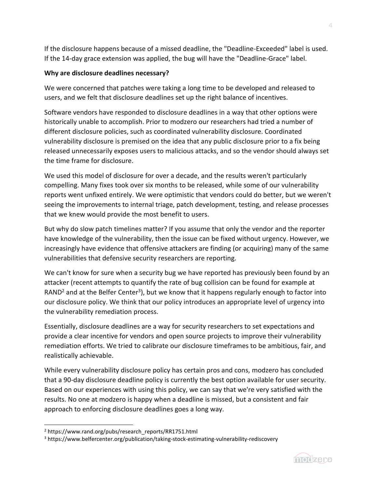If the disclosure happens because of a missed deadline, the "Deadline-Exceeded" label is used. If the 14-day grace extension was applied, the bug will have the "Deadline-Grace" label.

#### **Why are disclosure deadlines necessary?**

We were concerned that patches were taking a long time to be developed and released to users, and we felt that disclosure deadlines set up the right balance of incentives.

Software vendors have responded to disclosure deadlines in a way that other options were historically unable to accomplish. Prior to modzero our researchers had tried a number of different disclosure policies, such as coordinated vulnerability disclosure. Coordinated vulnerability disclosure is premised on the idea that any public disclosure prior to a fix being released unnecessarily exposes users to malicious attacks, and so the vendor should always set the time frame for disclosure.

We used this model of disclosure for over a decade, and the results weren't particularly compelling. Many fixes took over six months to be released, while some of our vulnerability reports went unfixed entirely. We were optimistic that vendors could do better, but we weren't seeing the improvements to internal triage, patch development, testing, and release processes that we knew would provide the most benefit to users.

But why do slow patch timelines matter? If you assume that only the vendor and the reporter have knowledge of the vulnerability, then the issue can be fixed without urgency. However, we increasingly have evidence that offensive attackers are finding (or acquiring) many of the same vulnerabilities that defensive security researchers are reporting.

We can't know for sure when a security bug we have reported has previously been found by an attacker (recent attempts to quantify the rate of bug collision can be found for example at RAND<sup>2</sup> and at the Belfer Center<sup>3</sup>), but we know that it happens regularly enough to factor into our disclosure policy. We think that our policy introduces an appropriate level of urgency into the vulnerability remediation process.

Essentially, disclosure deadlines are a way for security researchers to set expectations and provide a clear incentive for vendors and open source projects to improve their vulnerability remediation efforts. We tried to calibrate our disclosure timeframes to be ambitious, fair, and realistically achievable.

While every vulnerability disclosure policy has certain pros and cons, modzero has concluded that a 90-day disclosure deadline policy is currently the best option available for user security. Based on our experiences with using this policy, we can say that we're very satisfied with the results. No one at modzero is happy when a deadline is missed, but a consistent and fair approach to enforcing disclosure deadlines goes a long way.



<sup>&</sup>lt;sup>2</sup> https://www.rand.org/pubs/research\_reports/RR1751.html

<sup>3</sup> https://www.belfercenter.org/publication/taking-stock-estimating-vulnerability-rediscovery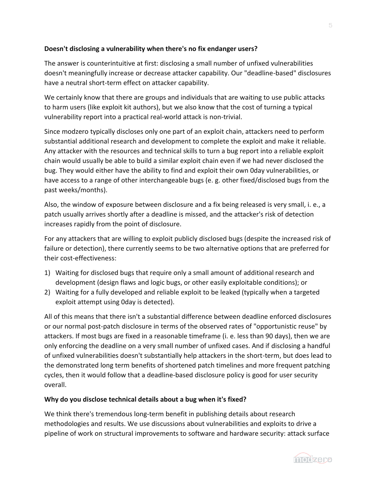#### **Doesn't disclosing a vulnerability when there's no fix endanger users?**

The answer is counterintuitive at first: disclosing a small number of unfixed vulnerabilities doesn't meaningfully increase or decrease attacker capability. Our "deadline-based" disclosures have a neutral short-term effect on attacker capability.

We certainly know that there are groups and individuals that are waiting to use public attacks to harm users (like exploit kit authors), but we also know that the cost of turning a typical vulnerability report into a practical real-world attack is non-trivial.

Since modzero typically discloses only one part of an exploit chain, attackers need to perform substantial additional research and development to complete the exploit and make it reliable. Any attacker with the resources and technical skills to turn a bug report into a reliable exploit chain would usually be able to build a similar exploit chain even if we had never disclosed the bug. They would either have the ability to find and exploit their own 0day vulnerabilities, or have access to a range of other interchangeable bugs (e. g. other fixed/disclosed bugs from the past weeks/months).

Also, the window of exposure between disclosure and a fix being released is very small, i. e., a patch usually arrives shortly after a deadline is missed, and the attacker's risk of detection increases rapidly from the point of disclosure.

For any attackers that are willing to exploit publicly disclosed bugs (despite the increased risk of failure or detection), there currently seems to be two alternative options that are preferred for their cost-effectiveness:

- 1) Waiting for disclosed bugs that require only a small amount of additional research and development (design flaws and logic bugs, or other easily exploitable conditions); or
- 2) Waiting for a fully developed and reliable exploit to be leaked (typically when a targeted exploit attempt using 0day is detected).

All of this means that there isn't a substantial difference between deadline enforced disclosures or our normal post-patch disclosure in terms of the observed rates of "opportunistic reuse" by attackers. If most bugs are fixed in a reasonable timeframe (i. e. less than 90 days), then we are only enforcing the deadline on a very small number of unfixed cases. And if disclosing a handful of unfixed vulnerabilities doesn't substantially help attackers in the short-term, but does lead to the demonstrated long term benefits of shortened patch timelines and more frequent patching cycles, then it would follow that a deadline-based disclosure policy is good for user security overall.

#### **Why do you disclose technical details about a bug when it's fixed?**

We think there's tremendous long-term benefit in publishing details about research methodologies and results. We use discussions about vulnerabilities and exploits to drive a pipeline of work on structural improvements to software and hardware security: attack surface

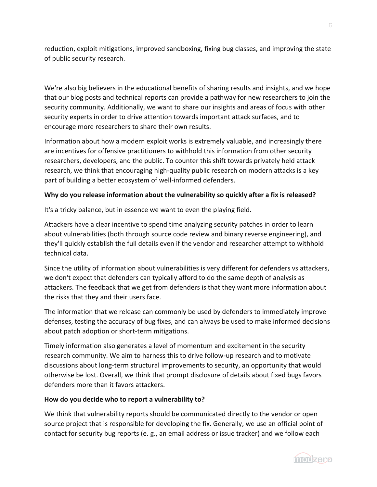reduction, exploit mitigations, improved sandboxing, fixing bug classes, and improving the state of public security research.

We're also big believers in the educational benefits of sharing results and insights, and we hope that our blog posts and technical reports can provide a pathway for new researchers to join the security community. Additionally, we want to share our insights and areas of focus with other security experts in order to drive attention towards important attack surfaces, and to encourage more researchers to share their own results.

Information about how a modern exploit works is extremely valuable, and increasingly there are incentives for offensive practitioners to withhold this information from other security researchers, developers, and the public. To counter this shift towards privately held attack research, we think that encouraging high-quality public research on modern attacks is a key part of building a better ecosystem of well-informed defenders.

#### **Why do you release information about the vulnerability so quickly after a fix is released?**

It's a tricky balance, but in essence we want to even the playing field.

Attackers have a clear incentive to spend time analyzing security patches in order to learn about vulnerabilities (both through source code review and binary reverse engineering), and they'll quickly establish the full details even if the vendor and researcher attempt to withhold technical data.

Since the utility of information about vulnerabilities is very different for defenders vs attackers, we don't expect that defenders can typically afford to do the same depth of analysis as attackers. The feedback that we get from defenders is that they want more information about the risks that they and their users face.

The information that we release can commonly be used by defenders to immediately improve defenses, testing the accuracy of bug fixes, and can always be used to make informed decisions about patch adoption or short-term mitigations.

Timely information also generates a level of momentum and excitement in the security research community. We aim to harness this to drive follow-up research and to motivate discussions about long-term structural improvements to security, an opportunity that would otherwise be lost. Overall, we think that prompt disclosure of details about fixed bugs favors defenders more than it favors attackers.

#### **How do you decide who to report a vulnerability to?**

We think that vulnerability reports should be communicated directly to the vendor or open source project that is responsible for developing the fix. Generally, we use an official point of contact for security bug reports (e. g., an email address or issue tracker) and we follow each

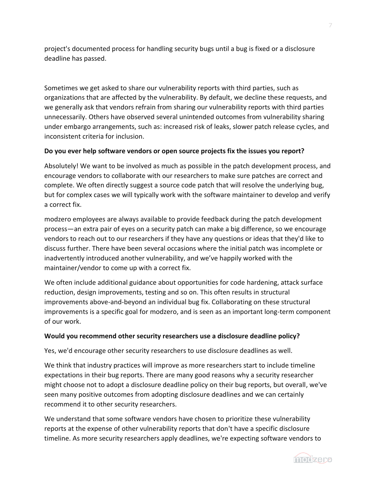project's documented process for handling security bugs until a bug is fixed or a disclosure deadline has passed.

Sometimes we get asked to share our vulnerability reports with third parties, such as organizations that are affected by the vulnerability. By default, we decline these requests, and we generally ask that vendors refrain from sharing our vulnerability reports with third parties unnecessarily. Others have observed several unintended outcomes from vulnerability sharing under embargo arrangements, such as: increased risk of leaks, slower patch release cycles, and inconsistent criteria for inclusion.

#### **Do you ever help software vendors or open source projects fix the issues you report?**

Absolutely! We want to be involved as much as possible in the patch development process, and encourage vendors to collaborate with our researchers to make sure patches are correct and complete. We often directly suggest a source code patch that will resolve the underlying bug, but for complex cases we will typically work with the software maintainer to develop and verify a correct fix.

modzero employees are always available to provide feedback during the patch development process—an extra pair of eyes on a security patch can make a big difference, so we encourage vendors to reach out to our researchers if they have any questions or ideas that they'd like to discuss further. There have been several occasions where the initial patch was incomplete or inadvertently introduced another vulnerability, and we've happily worked with the maintainer/vendor to come up with a correct fix.

We often include additional guidance about opportunities for code hardening, attack surface reduction, design improvements, testing and so on. This often results in structural improvements above-and-beyond an individual bug fix. Collaborating on these structural improvements is a specific goal for modzero, and is seen as an important long-term component of our work.

#### **Would you recommend other security researchers use a disclosure deadline policy?**

Yes, we'd encourage other security researchers to use disclosure deadlines as well.

We think that industry practices will improve as more researchers start to include timeline expectations in their bug reports. There are many good reasons why a security researcher might choose not to adopt a disclosure deadline policy on their bug reports, but overall, we've seen many positive outcomes from adopting disclosure deadlines and we can certainly recommend it to other security researchers.

We understand that some software vendors have chosen to prioritize these vulnerability reports at the expense of other vulnerability reports that don't have a specific disclosure timeline. As more security researchers apply deadlines, we're expecting software vendors to



modzero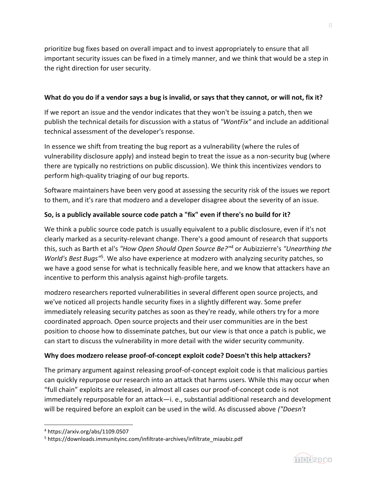prioritize bug fixes based on overall impact and to invest appropriately to ensure that all important security issues can be fixed in a timely manner, and we think that would be a step in the right direction for user security.

#### **What do you do if a vendor says a bug is invalid, or says that they cannot, or will not, fix it?**

If we report an issue and the vendor indicates that they won't be issuing a patch, then we publish the technical details for discussion with a status of *"WontFix"* and include an additional technical assessment of the developer's response.

In essence we shift from treating the bug report as a vulnerability (where the rules of vulnerability disclosure apply) and instead begin to treat the issue as a non-security bug (where there are typically no restrictions on public discussion). We think this incentivizes vendors to perform high-quality triaging of our bug reports.

Software maintainers have been very good at assessing the security risk of the issues we report to them, and it's rare that modzero and a developer disagree about the severity of an issue.

#### **So, is a publicly available source code patch a "fix" even if there's no build for it?**

We think a public source code patch is usually equivalent to a public disclosure, even if it's not clearly marked as a security-relevant change. There's a good amount of research that supports this, such as Barth et al's *"How Open Should Open Source Be?"<sup>4</sup>* or Aubizzierre's *"Unearthing the*  World's Best Bugs<sup>15</sup>. We also have experience at modzero with analyzing security patches, so we have a good sense for what is technically feasible here, and we know that attackers have an incentive to perform this analysis against high-profile targets.

modzero researchers reported vulnerabilities in several different open source projects, and we've noticed all projects handle security fixes in a slightly different way. Some prefer immediately releasing security patches as soon as they're ready, while others try for a more coordinated approach. Open source projects and their user communities are in the best position to choose how to disseminate patches, but our view is that once a patch is public, we can start to discuss the vulnerability in more detail with the wider security community.

#### **Why does modzero release proof-of-concept exploit code? Doesn't this help attackers?**

The primary argument against releasing proof-of-concept exploit code is that malicious parties can quickly repurpose our research into an attack that harms users. While this may occur when "full chain" exploits are released, in almost all cases our proof-of-concept code is not immediately repurposable for an attack—i. e., substantial additional research and development will be required before an exploit can be used in the wild. As discussed above *("Doesn't* 



<sup>4</sup> https://arxiv.org/abs/1109.0507

<sup>5</sup> https://downloads.immunityinc.com/infiltrate-archives/infiltrate\_miaubiz.pdf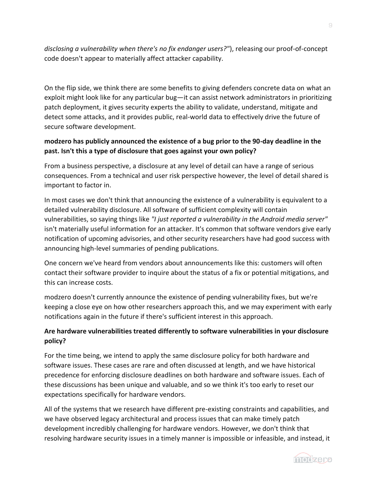*disclosing a vulnerability when there's no fix endanger users?"*), releasing our proof-of-concept code doesn't appear to materially affect attacker capability.

On the flip side, we think there are some benefits to giving defenders concrete data on what an exploit might look like for any particular bug—it can assist network administrators in prioritizing patch deployment, it gives security experts the ability to validate, understand, mitigate and detect some attacks, and it provides public, real-world data to effectively drive the future of secure software development.

#### **modzero has publicly announced the existence of a bug prior to the 90-day deadline in the past. Isn't this a type of disclosure that goes against your own policy?**

From a business perspective, a disclosure at any level of detail can have a range of serious consequences. From a technical and user risk perspective however, the level of detail shared is important to factor in.

In most cases we don't think that announcing the existence of a vulnerability is equivalent to a detailed vulnerability disclosure. All software of sufficient complexity will contain vulnerabilities, so saying things like *"I just reported a vulnerability in the Android media server"* isn't materially useful information for an attacker. It's common that software vendors give early notification of upcoming advisories, and other security researchers have had good success with announcing high-level summaries of pending publications.

One concern we've heard from vendors about announcements like this: customers will often contact their software provider to inquire about the status of a fix or potential mitigations, and this can increase costs.

modzero doesn't currently announce the existence of pending vulnerability fixes, but we're keeping a close eye on how other researchers approach this, and we may experiment with early notifications again in the future if there's sufficient interest in this approach.

#### **Are hardware vulnerabilities treated differently to software vulnerabilities in your disclosure policy?**

For the time being, we intend to apply the same disclosure policy for both hardware and software issues. These cases are rare and often discussed at length, and we have historical precedence for enforcing disclosure deadlines on both hardware and software issues. Each of these discussions has been unique and valuable, and so we think it's too early to reset our expectations specifically for hardware vendors.

All of the systems that we research have different pre-existing constraints and capabilities, and we have observed legacy architectural and process issues that can make timely patch development incredibly challenging for hardware vendors. However, we don't think that resolving hardware security issues in a timely manner is impossible or infeasible, and instead, it